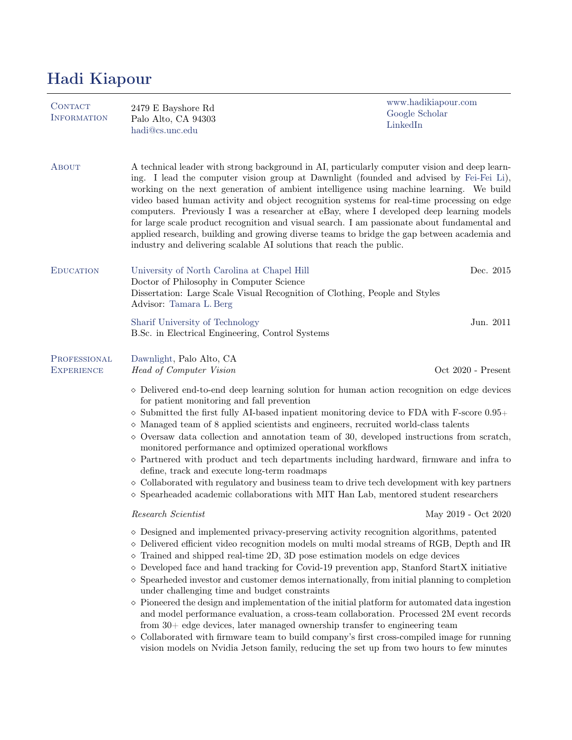## Hadi Kiapour

| CONTACT<br><b>INFORMATION</b>     | 2479 E Bayshore Rd<br>Palo Alto, CA 94303<br>hadi@cs.unc.edu                                                                                                                                                                                                                                                                                                                                                                                                                                                                                                                                                                                                                                                                                                                                                                                                                                                                                                                                                                                                  | www.hadikiapour.com<br>Google Scholar<br>LinkedIn |
|-----------------------------------|---------------------------------------------------------------------------------------------------------------------------------------------------------------------------------------------------------------------------------------------------------------------------------------------------------------------------------------------------------------------------------------------------------------------------------------------------------------------------------------------------------------------------------------------------------------------------------------------------------------------------------------------------------------------------------------------------------------------------------------------------------------------------------------------------------------------------------------------------------------------------------------------------------------------------------------------------------------------------------------------------------------------------------------------------------------|---------------------------------------------------|
| ABOUT                             | A technical leader with strong background in AI, particularly computer vision and deep learn-<br>ing. I lead the computer vision group at Dawnlight (founded and advised by Fei-Fei Li),<br>working on the next generation of ambient intelligence using machine learning. We build<br>video based human activity and object recognition systems for real-time processing on edge<br>computers. Previously I was a researcher at eBay, where I developed deep learning models<br>for large scale product recognition and visual search. I am passionate about fundamental and<br>applied research, building and growing diverse teams to bridge the gap between academia and<br>industry and delivering scalable AI solutions that reach the public.                                                                                                                                                                                                                                                                                                          |                                                   |
| <b>EDUCATION</b>                  | University of North Carolina at Chapel Hill<br>Doctor of Philosophy in Computer Science<br>Dissertation: Large Scale Visual Recognition of Clothing, People and Styles<br>Advisor: Tamara L. Berg                                                                                                                                                                                                                                                                                                                                                                                                                                                                                                                                                                                                                                                                                                                                                                                                                                                             | Dec. 2015                                         |
|                                   | Sharif University of Technology<br>B.Sc. in Electrical Engineering, Control Systems                                                                                                                                                                                                                                                                                                                                                                                                                                                                                                                                                                                                                                                                                                                                                                                                                                                                                                                                                                           | Jun. 2011                                         |
| PROFESSIONAL<br><b>EXPERIENCE</b> | Dawnlight, Palo Alto, CA<br>Head of Computer Vision                                                                                                                                                                                                                                                                                                                                                                                                                                                                                                                                                                                                                                                                                                                                                                                                                                                                                                                                                                                                           | Oct 2020 - Present                                |
|                                   | $\diamond$ Delivered end-to-end deep learning solution for human action recognition on edge devices<br>for patient monitoring and fall prevention<br>$\diamond$ Submitted the first fully AI-based inpatient monitoring device to FDA with F-score 0.95+<br>$\diamond$ Managed team of 8 applied scientists and engineers, recruited world-class talents<br>$\diamond$ Oversaw data collection and annotation team of 30, developed instructions from scratch,<br>monitored performance and optimized operational workflows<br>$\diamond$ Partnered with product and tech departments including hardward, firmware and infra to<br>define, track and execute long-term roadmaps<br>$\diamond$ Collaborated with regulatory and business team to drive tech development with key partners<br>$\diamond$ Spearheaded academic collaborations with MIT Han Lab, mentored student researchers                                                                                                                                                                     |                                                   |
|                                   | Research Scientist                                                                                                                                                                                                                                                                                                                                                                                                                                                                                                                                                                                                                                                                                                                                                                                                                                                                                                                                                                                                                                            | May 2019 - Oct 2020                               |
|                                   | $\diamond$ Designed and implemented privacy-preserving activity recognition algorithms, patented<br>$\diamond$ Delivered efficient video recognition models on multi modal streams of RGB, Depth and IR<br>$\diamond$ Trained and shipped real-time 2D, 3D pose estimation models on edge devices<br>$\diamond$ Developed face and hand tracking for Covid-19 prevention app, Stanford StartX initiative<br>$\diamond$ Spearheded investor and customer demos internationally, from initial planning to completion<br>under challenging time and budget constraints<br>$\Diamond$ Pioneered the design and implementation of the initial platform for automated data ingestion<br>and model performance evaluation, a cross-team collaboration. Processed 2M event records<br>from 30+ edge devices, later managed ownership transfer to engineering team<br>$\diamond$ Collaborated with firmware team to build company's first cross-compiled image for running<br>vision models on Nvidia Jetson family, reducing the set up from two hours to few minutes |                                                   |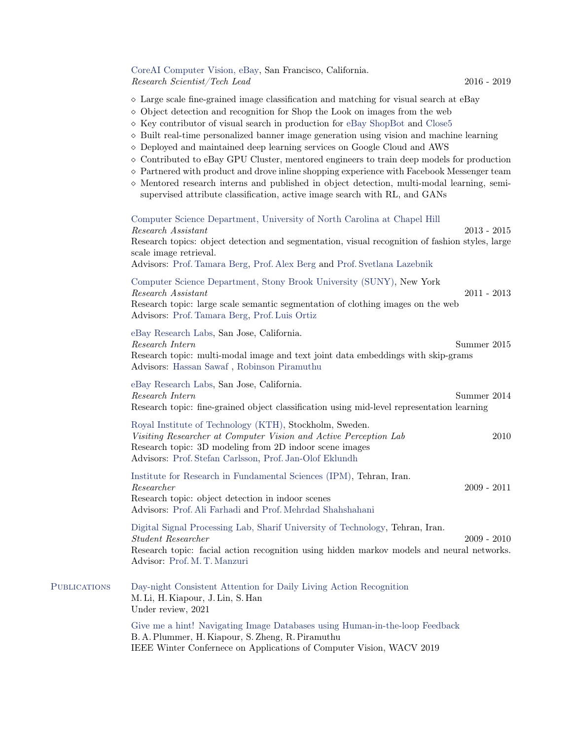## CoreAI Computer Vision, eBay, San Francisco, California. Research Scientist/Tech Lead 2016 - 2019

- $\Diamond$  Large scale fine-grained image classification and matching for visual search at eBay
- $\Diamond$  Object detection and recognition for Shop the Look on images from the web
- $\Diamond$  Key contributor of visual search in production for [eBay ShopBot](https://www.ebayinc.com/stories/news/say-hello-to-ebay-shopbot-beta/) and [Close5](https://itunes.apple.com/us/app/close5-buy-sell-locally/id910559026?mt=8)
- $\Diamond$  Built real-time personalized banner image generation using vision and machine learning
- $\Diamond$  Deployed and maintained deep learning services on Google Cloud and AWS
- $\Diamond$  Contributed to eBay GPU Cluster, mentored engineers to train deep models for production
- $\Diamond$  Partnered with product and drove inline shopping experience with Facebook Messenger team
- $\Diamond$  Mentored research interns and published in object detection, multi-modal learning, semisupervised attribute classification, active image search with RL, and GANs

Computer Science Department, University of North Carolina at Chapel Hill Research Assistant 2013 - 2015 Research topics: object detection and segmentation, visual recognition of fashion styles, large scale image retrieval. Advisors: [Prof. Tamara Berg,](http://www.tamaraberg.com/) [Prof. Alex Berg](http://acberg.com/.com/) and [Prof. Svetlana Lazebnik](https://slazebni.cs.illinois.edu/) Computer Science Department, Stony Brook University (SUNY), New York Research Assistant 2011 - 2013 Research topic: large scale semantic segmentation of clothing images on the web Advisors: [Prof. Tamara Berg,](http://www.tamaraberg.com/) [Prof. Luis Ortiz](https://umdearborn.edu/luis-ortiz) eBay Research Labs, San Jose, California. Research Intern Summer 2015 Research topic: multi-modal image and text joint data embeddings with skip-grams Advisors: [Hassan Sawaf](https://www.linkedin.com/in/sawaf/) , [Robinson Piramuthu](https://www.linkedin.com/in/rpiramuthu) eBay Research Labs, San Jose, California. Research Intern Summer 2014 Research topic: fine-grained object classification using mid-level representation learning Royal Institute of Technology (KTH), Stockholm, Sweden. Visiting Researcher at Computer Vision and Active Perception Lab 2010 Research topic: 3D modeling from 2D indoor scene images Advisors: [Prof. Stefan Carlsson,](https://www.csc.kth.se/~stefanc/) [Prof. Jan-Olof Eklundh](https://scholar.google.com/citations?user=C8S84g8AAAAJ&hl=en) Institute for Research in Fundamental Sciences (IPM), Tehran, Iran. Researcher 2009 - 2011 Research topic: object detection in indoor scenes Advisors: [Prof. Ali Farhadi](https://homes.cs.washington.edu/~ali/) and [Prof. Mehrdad Shahshahani](https://explorecourses.stanford.edu/instructor/mehrdads) Digital Signal Processing Lab, Sharif University of Technology, Tehran, Iran. Student Researcher 2009 - 2010 Research topic: facial action recognition using hidden markov models and neural networks. Advisor: [Prof. M. T. Manzuri](http://sharif.ir/~manzuri/) Publications [Day-night Consistent Attention for Daily Living Action Recognition](http://cs.unc.edu/~hadi/) M. Li, H. Kiapour, J. Lin, S. Han Under review, 2021 [Give me a hint! Navigating Image Databases using Human-in-the-loop Feedback](http://cs.unc.edu/~hadi/#paper_plummerarXiv18twenty) B. A. Plummer, H. Kiapour, S. Zheng, R. Piramuthu

IEEE Winter Confernece on Applications of Computer Vision, WACV 2019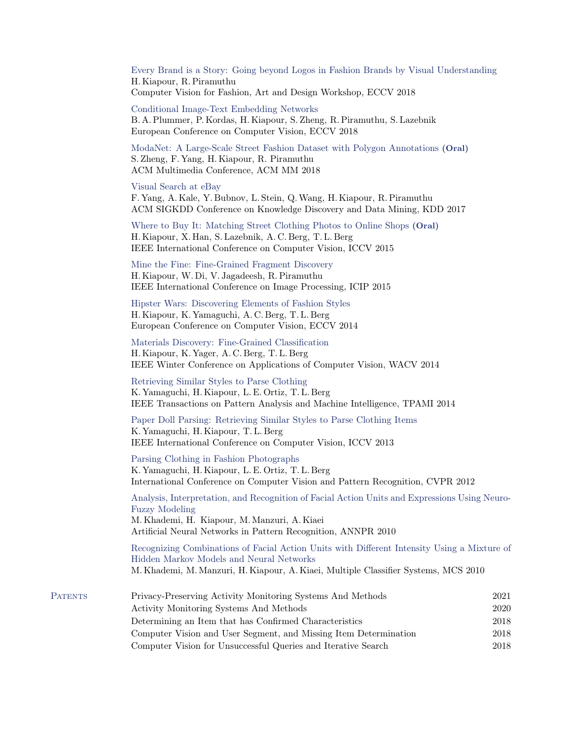[Every Brand is a Story: Going beyond Logos in Fashion Brands by Visual Understanding](http://cs.unc.edu/~hadi/#paper_kiapourarXiv18every) H. Kiapour, R. Piramuthu Computer Vision for Fashion, Art and Design Workshop, ECCV 2018

[Conditional Image-Text Embedding Networks](http://cs.unc.edu/~hadi/#paper_plummerarXiv18conditional) B. A. Plummer, P. Kordas, H. Kiapour, S. Zheng, R. Piramuthu, S. Lazebnik European Conference on Computer Vision, ECCV 2018

[ModaNet: A Large-Scale Street Fashion Dataset with Polygon Annotations](http://cs.unc.edu/~hadi) (Oral) S. Zheng, F. Yang, H. Kiapour, R. Piramuthu ACM Multimedia Conference, ACM MM 2018

## [Visual Search at eBay](http://cs.unc.edu/~hadi/#paper_yangKDD17visual)

F. Yang, A. Kale, Y. Bubnov, L. Stein, Q.Wang, H. Kiapour, R. Piramuthu ACM SIGKDD Conference on Knowledge Discovery and Data Mining, KDD 2017

[Where to Buy It: Matching Street Clothing Photos to Online Shops](http://cs.unc.edu/~hadi/#paper_kiapourICCV15where) (Oral) H. Kiapour, X. Han, S. Lazebnik, A. C. Berg, T. L. Berg IEEE International Conference on Computer Vision, ICCV 2015

[Mine the Fine: Fine-Grained Fragment Discovery](http://cs.unc.edu/~hadi/#kiapourICIP15mine) H. Kiapour, W. Di, V. Jagadeesh, R. Piramuthu IEEE International Conference on Image Processing, ICIP 2015

[Hipster Wars: Discovering Elements of Fashion Styles](http://cs.unc.edu/~hadi/#paper_kiapourECCV14hipster) H. Kiapour, K. Yamaguchi, A. C. Berg, T. L. Berg European Conference on Computer Vision, ECCV 2014

[Materials Discovery: Fine-Grained Classification](http://cs.unc.edu/~hadi/#paper_kiapourWACV14materials) H. Kiapour, K. Yager, A. C. Berg, T. L. Berg IEEE Winter Conference on Applications of Computer Vision, WACV 2014

[Retrieving Similar Styles to Parse Clothing](http://cs.unc.edu/~hadi/#paper_yamaguchiTPAMI14retrieving) K. Yamaguchi, H. Kiapour, L. E. Ortiz, T. L. Berg IEEE Transactions on Pattern Analysis and Machine Intelligence, TPAMI 2014

[Paper Doll Parsing: Retrieving Similar Styles to Parse Clothing Items](http://cs.unc.edu/~hadi/#paper_yamaguchiICCV13paper) K. Yamaguchi, H. Kiapour, T. L. Berg IEEE International Conference on Computer Vision, ICCV 2013

[Parsing Clothing in Fashion Photographs](http://cs.unc.edu/~hadi/#paper_yamaguchiICVPR12parsing) K. Yamaguchi, H. Kiapour, L. E. Ortiz, T. L. Berg International Conference on Computer Vision and Pattern Recognition, CVPR 2012

[Analysis, Interpretation, and Recognition of Facial Action Units and Expressions Using Neuro-](http://cs.unc.edu/~hadi/#paper_khademiANNPR10analysis)[Fuzzy Modeling](http://cs.unc.edu/~hadi/#paper_khademiANNPR10analysis) M. Khademi, H. Kiapour, M. Manzuri, A. Kiaei Artificial Neural Networks in Pattern Recognition, ANNPR 2010

[Recognizing Combinations of Facial Action Units with Different Intensity Using a Mixture of](http://cs.unc.edu/~hadi/#paper_khademiMCS10recognizing) [Hidden Markov Models and Neural Networks](http://cs.unc.edu/~hadi/#paper_khademiMCS10recognizing) M. Khademi, M. Manzuri, H. Kiapour, A. Kiaei, Multiple Classifier Systems, MCS 2010

| <b>PATENTS</b> | Privacy-Preserving Activity Monitoring Systems And Methods       | 2021 |
|----------------|------------------------------------------------------------------|------|
|                | Activity Monitoring Systems And Methods                          | 2020 |
|                | Determining an Item that has Confirmed Characteristics           | 2018 |
|                | Computer Vision and User Segment, and Missing Item Determination | 2018 |
|                | Computer Vision for Unsuccessful Queries and Iterative Search    | 2018 |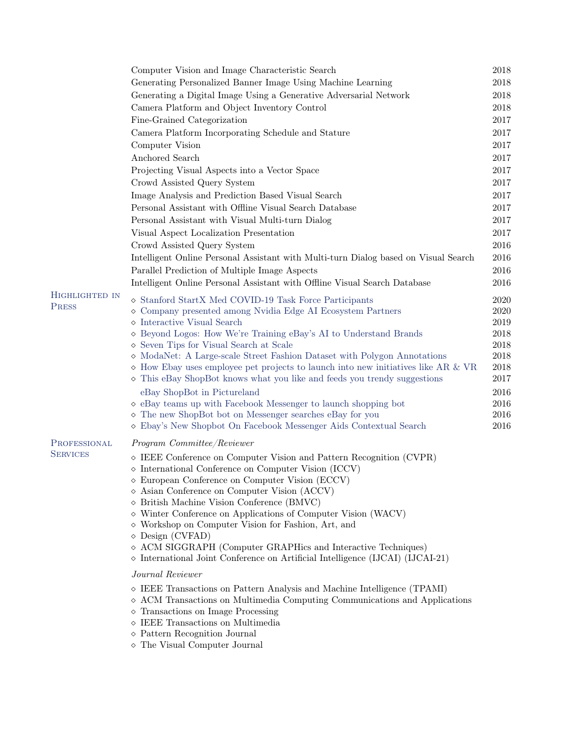|                 | Computer Vision and Image Characteristic Search                                                            | 2018         |
|-----------------|------------------------------------------------------------------------------------------------------------|--------------|
|                 | Generating Personalized Banner Image Using Machine Learning                                                | 2018         |
|                 | Generating a Digital Image Using a Generative Adversarial Network                                          | 2018         |
|                 | Camera Platform and Object Inventory Control                                                               | 2018         |
|                 | Fine-Grained Categorization                                                                                | 2017         |
|                 | Camera Platform Incorporating Schedule and Stature                                                         | 2017         |
|                 | Computer Vision                                                                                            | 2017         |
|                 | Anchored Search                                                                                            | 2017         |
|                 | Projecting Visual Aspects into a Vector Space                                                              | 2017         |
|                 | Crowd Assisted Query System                                                                                | 2017         |
|                 | Image Analysis and Prediction Based Visual Search                                                          | 2017         |
|                 | Personal Assistant with Offline Visual Search Database                                                     | 2017         |
|                 | Personal Assistant with Visual Multi-turn Dialog                                                           | 2017         |
|                 | Visual Aspect Localization Presentation                                                                    | 2017         |
|                 | Crowd Assisted Query System                                                                                | 2016         |
|                 | Intelligent Online Personal Assistant with Multi-turn Dialog based on Visual Search                        | 2016         |
|                 | Parallel Prediction of Multiple Image Aspects                                                              | 2016         |
|                 | Intelligent Online Personal Assistant with Offline Visual Search Database                                  | 2016         |
| HIGHLIGHTED IN  |                                                                                                            |              |
| PRESS           | Stanford StartX Med COVID-19 Task Force Participants                                                       | 2020         |
|                 | $\diamond$ Company presented among Nvidia Edge AI Ecosystem Partners                                       | 2020         |
|                 | $\diamond$ Interactive Visual Search                                                                       | 2019         |
|                 | ◇ Beyond Logos: How We're Training eBay's AI to Understand Brands<br>Seven Tips for Visual Search at Scale | 2018<br>2018 |
|                 | $\diamond$ ModaNet: A Large-scale Street Fashion Dataset with Polygon Annotations                          | 2018         |
|                 | $\diamond$ How Ebay uses employee pet projects to launch into new initiatives like AR & VR                 | 2018         |
|                 | ◇ This eBay ShopBot knows what you like and feeds you trendy suggestions                                   | 2017         |
|                 | eBay ShopBot in Pictureland                                                                                | 2016         |
|                 | $\diamond$ eBay teams up with Facebook Messenger to launch shopping bot                                    | 2016         |
|                 | $\diamond$ The new ShopBot bot on Messenger searches eBay for you                                          | 2016         |
|                 | $\diamond$ Ebay's New Shopbot On Facebook Messenger Aids Contextual Search                                 | 2016         |
| PROFESSIONAL    | Program Committee/Reviewer                                                                                 |              |
| <b>SERVICES</b> | $\diamond$ IEEE Conference on Computer Vision and Pattern Recognition (CVPR)                               |              |
|                 | $\diamond$ International Conference on Computer Vision (ICCV)                                              |              |
|                 | $\diamond$ European Conference on Computer Vision (ECCV)                                                   |              |
|                 | $\diamond$ Asian Conference on Computer Vision (ACCV)                                                      |              |
|                 | $\diamond$ British Machine Vision Conference (BMVC)                                                        |              |
|                 | ◇ Winter Conference on Applications of Computer Vision (WACV)                                              |              |
|                 | ◇ Workshop on Computer Vision for Fashion, Art, and<br>$\Diamond$ Design (CVFAD)                           |              |
|                 | ◇ ACM SIGGRAPH (Computer GRAPHics and Interactive Techniques)                                              |              |
|                 | $\diamond$ International Joint Conference on Artificial Intelligence (IJCAI) (IJCAI-21)                    |              |
|                 | Journal Reviewer                                                                                           |              |
|                 | $\diamond$ IEEE Transactions on Pattern Analysis and Machine Intelligence (TPAMI)                          |              |
|                 | $\diamond$ ACM Transactions on Multimedia Computing Communications and Applications                        |              |
|                 | $\diamond$ Transactions on Image Processing                                                                |              |
|                 | $\diamond$ IEEE Transactions on Multimedia                                                                 |              |
|                 | $\diamond$ Pattern Recognition Journal                                                                     |              |
|                 | $\diamond$ The Visual Computer Journal                                                                     |              |